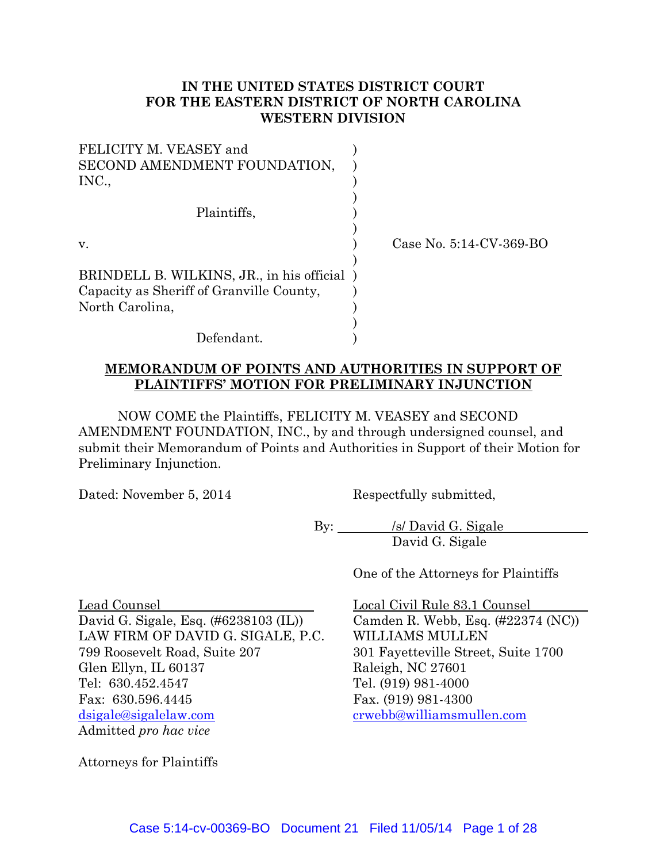### **IN THE UNITED STATES DISTRICT COURT FOR THE EASTERN DISTRICT OF NORTH CAROLINA WESTERN DIVISION**

| FELICITY M. VEASEY and<br>SECOND AMENDMENT FOUNDATION,<br>INC., |                         |
|-----------------------------------------------------------------|-------------------------|
| Plaintiffs,                                                     |                         |
| V.                                                              | Case No. 5:14-CV-369-BO |
| BRINDELL B. WILKINS, JR., in his official)                      |                         |
| Capacity as Sheriff of Granville County,                        |                         |
| North Carolina,                                                 |                         |
|                                                                 |                         |
| Defendant.                                                      |                         |

#### **MEMORANDUM OF POINTS AND AUTHORITIES IN SUPPORT OF PLAINTIFFS' MOTION FOR PRELIMINARY INJUNCTION**

NOW COME the Plaintiffs, FELICITY M. VEASEY and SECOND AMENDMENT FOUNDATION, INC., by and through undersigned counsel, and submit their Memorandum of Points and Authorities in Support of their Motion for Preliminary Injunction.

Dated: November 5, 2014 Respectfully submitted,

By: <u>/s/ David G. Sigale</u> David G. Sigale

One of the Attorneys for Plaintiffs

Lead Counsel Local Civil Rule 83.1 Counsel David G. Sigale, Esq. (#6238103 (IL)) Camden R. Webb, Esq. (#22374 (NC)) LAW FIRM OF DAVID G. SIGALE, P.C. WILLIAMS MULLEN 799 Roosevelt Road, Suite 207 301 Fayetteville Street, Suite 1700 Glen Ellyn, IL 60137 Raleigh, NC 27601 Tel: 630.452.4547 Tel. (919) 981-4000 Fax: 630.596.4445 Fax. (919) 981-4300 dsigale@sigalelaw.com crwebb@williamsmullen.com Admitted *pro hac vice*

Attorneys for Plaintiffs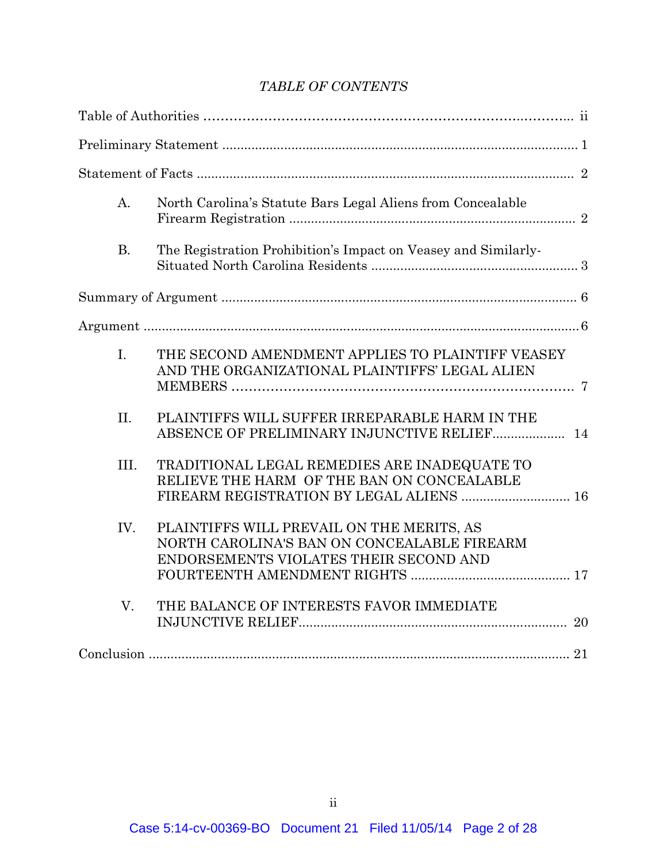# *TABLE OF CONTENTS*

| A <sub>1</sub> | North Carolina's Statute Bars Legal Aliens from Concealable                                                                            |
|----------------|----------------------------------------------------------------------------------------------------------------------------------------|
| B.             | The Registration Prohibition's Impact on Veasey and Similarly-                                                                         |
|                |                                                                                                                                        |
|                |                                                                                                                                        |
| L.             | THE SECOND AMENDMENT APPLIES TO PLAINTIFF VEASEY<br>AND THE ORGANIZATIONAL PLAINTIFFS' LEGAL ALIEN                                     |
| II.            | PLAINTIFFS WILL SUFFER IRREPARABLE HARM IN THE<br>ABSENCE OF PRELIMINARY INJUNCTIVE RELIEF 14                                          |
| III.           | TRADITIONAL LEGAL REMEDIES ARE INADEQUATE TO<br>RELIEVE THE HARM OF THE BAN ON CONCEALABLE<br>FIREARM REGISTRATION BY LEGAL ALIENS  16 |
| IV.            | PLAINTIFFS WILL PREVAIL ON THE MERITS, AS<br>NORTH CAROLINA'S BAN ON CONCEALABLE FIREARM<br>ENDORSEMENTS VIOLATES THEIR SECOND AND     |
| V.             | THE BALANCE OF INTERESTS FAVOR IMMEDIATE                                                                                               |
|                |                                                                                                                                        |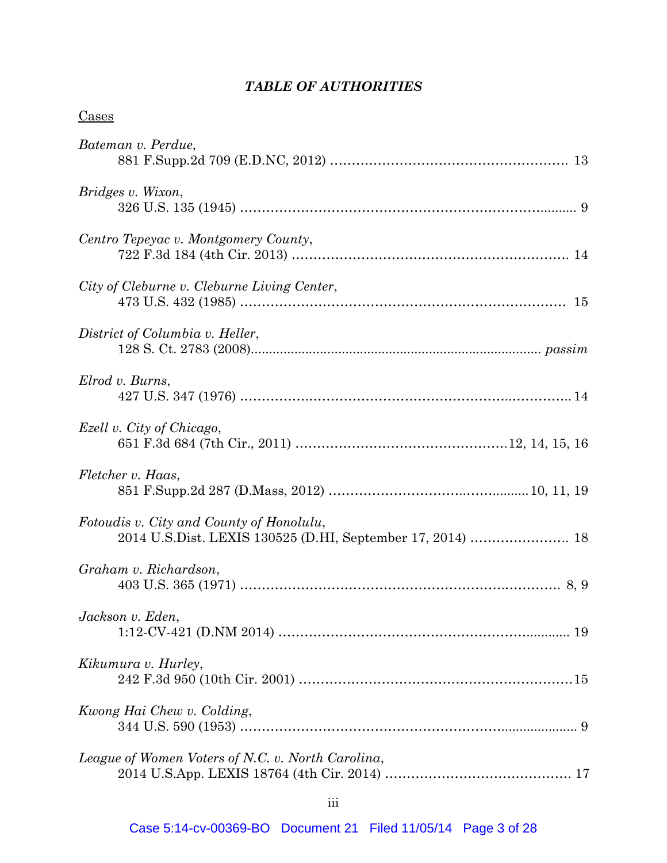# *TABLE OF AUTHORITIES*

| <u>Cases</u>                                                                                           |
|--------------------------------------------------------------------------------------------------------|
| Bateman v. Perdue,                                                                                     |
| Bridges v. Wixon,                                                                                      |
| Centro Tepeyac v. Montgomery County,                                                                   |
| City of Cleburne v. Cleburne Living Center,                                                            |
| District of Columbia v. Heller,                                                                        |
| Elrod v. Burns,                                                                                        |
| Ezell v. City of Chicago,                                                                              |
| Fletcher v. Haas,                                                                                      |
| Fotoudis v. City and County of Honolulu,<br>2014 U.S.Dist. LEXIS 130525 (D.HI, September 17, 2014)  18 |
| Graham v. Richardson,                                                                                  |
| Jackson v. Eden,                                                                                       |
| Kikumura v. Hurley,                                                                                    |
| Kwong Hai Chew v. Colding,                                                                             |
| League of Women Voters of N.C. v. North Carolina,                                                      |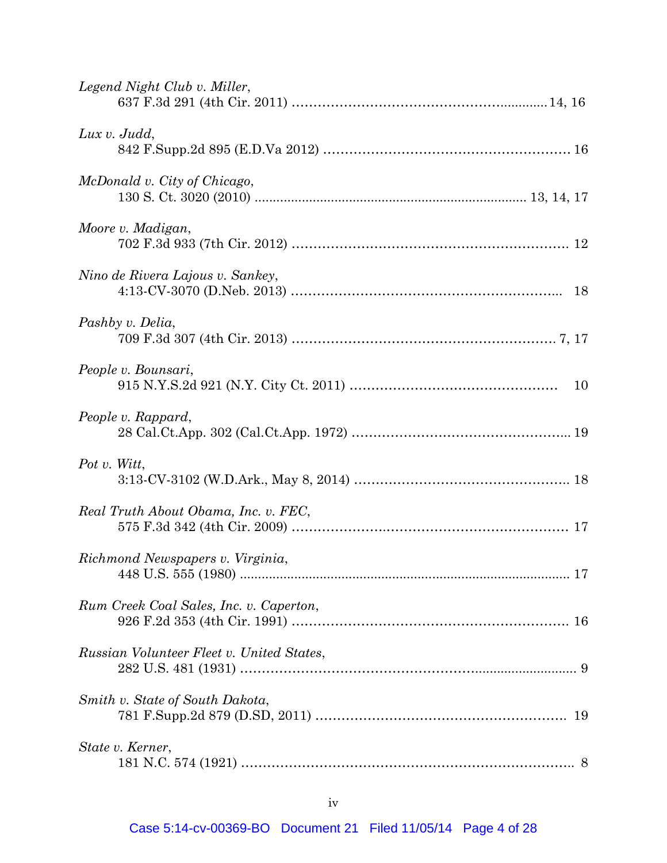| Legend Night Club v. Miller,              |
|-------------------------------------------|
| Lux $v.$ Judd,                            |
| McDonald v. City of Chicago,              |
| Moore v. Madigan,                         |
| Nino de Rivera Lajous v. Sankey,          |
| Pashby v. Delia,                          |
| People v. Bounsari,                       |
| People v. Rappard,                        |
| Pot v. Witt,                              |
| Real Truth About Obama, Inc. v. FEC,      |
| Richmond Newspapers v. Virginia,          |
| Rum Creek Coal Sales, Inc. v. Caperton,   |
| Russian Volunteer Fleet v. United States, |
| Smith v. State of South Dakota,           |
| State v. Kerner,                          |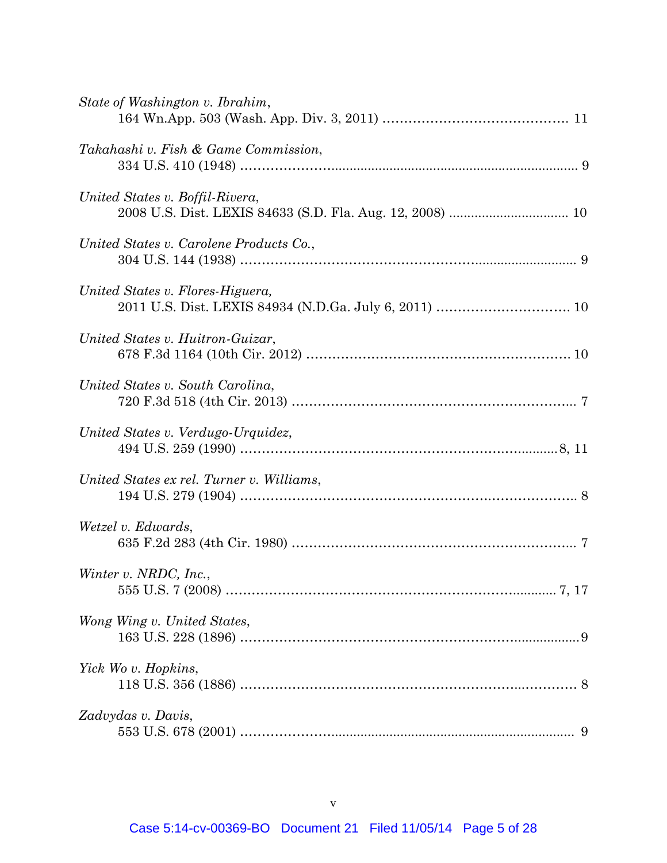| State of Washington v. Ibrahim,           |
|-------------------------------------------|
| Takahashi v. Fish & Game Commission,      |
| United States v. Boffil-Rivera,           |
| United States v. Carolene Products Co.,   |
| United States v. Flores-Higuera,          |
| United States v. Huitron-Guizar,          |
| United States v. South Carolina,          |
| United States v. Verdugo-Urquidez,        |
| United States ex rel. Turner v. Williams, |
| Wetzel v. Edwards,                        |
| Winter v. NRDC, Inc.,                     |
| Wong Wing v. United States,               |
| Yick Wo v. Hopkins,                       |
| Zadvydas v. Davis,                        |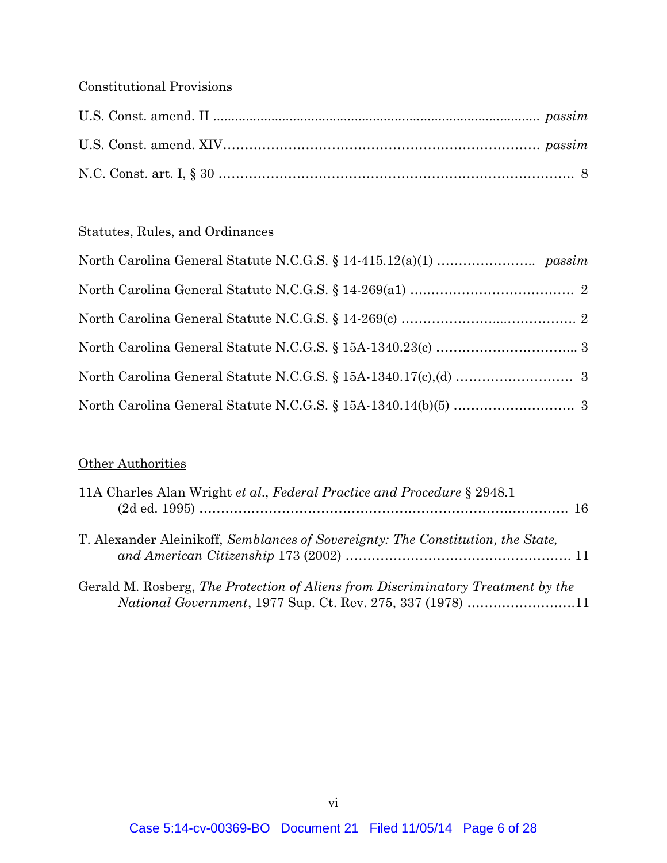# Constitutional Provisions

# Statutes, Rules, and Ordinances

## **Other Authorities**

| 11A Charles Alan Wright et al., Federal Practice and Procedure § 2948.1                                                                                |  |
|--------------------------------------------------------------------------------------------------------------------------------------------------------|--|
| T. Alexander Aleinikoff, Semblances of Sovereignty: The Constitution, the State,                                                                       |  |
| Gerald M. Rosberg, The Protection of Aliens from Discriminatory Treatment by the<br><i>National Government</i> , 1977 Sup. Ct. Rev. 275, 337 (1978) 11 |  |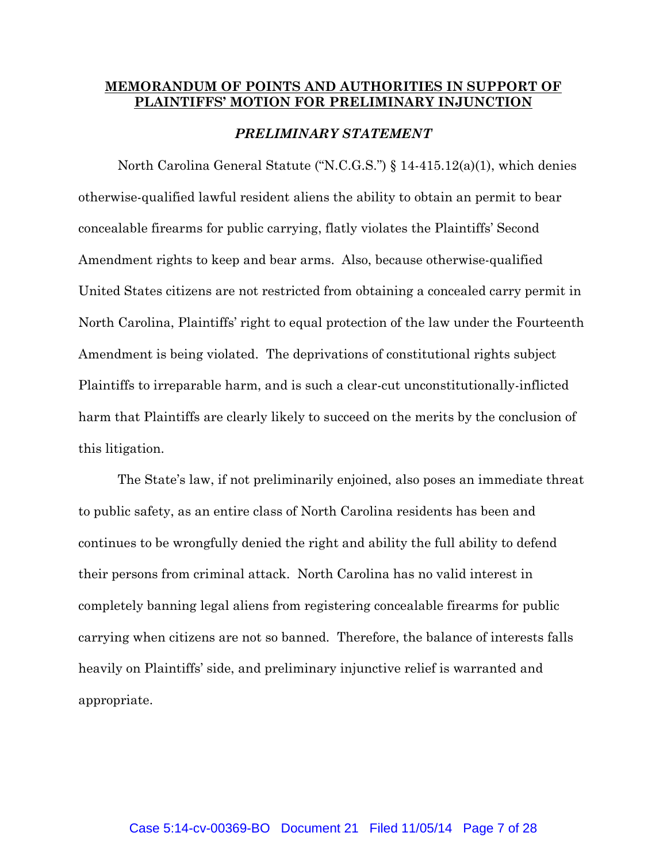### **MEMORANDUM OF POINTS AND AUTHORITIES IN SUPPORT OF PLAINTIFFS' MOTION FOR PRELIMINARY INJUNCTION**

#### *PRELIMINARY STATEMENT*

North Carolina General Statute ("N.C.G.S.") § 14-415.12(a)(1), which denies otherwise-qualified lawful resident aliens the ability to obtain an permit to bear concealable firearms for public carrying, flatly violates the Plaintiffs' Second Amendment rights to keep and bear arms. Also, because otherwise-qualified United States citizens are not restricted from obtaining a concealed carry permit in North Carolina, Plaintiffs' right to equal protection of the law under the Fourteenth Amendment is being violated. The deprivations of constitutional rights subject Plaintiffs to irreparable harm, and is such a clear-cut unconstitutionally-inflicted harm that Plaintiffs are clearly likely to succeed on the merits by the conclusion of this litigation.

The State's law, if not preliminarily enjoined, also poses an immediate threat to public safety, as an entire class of North Carolina residents has been and continues to be wrongfully denied the right and ability the full ability to defend their persons from criminal attack. North Carolina has no valid interest in completely banning legal aliens from registering concealable firearms for public carrying when citizens are not so banned. Therefore, the balance of interests falls heavily on Plaintiffs' side, and preliminary injunctive relief is warranted and appropriate.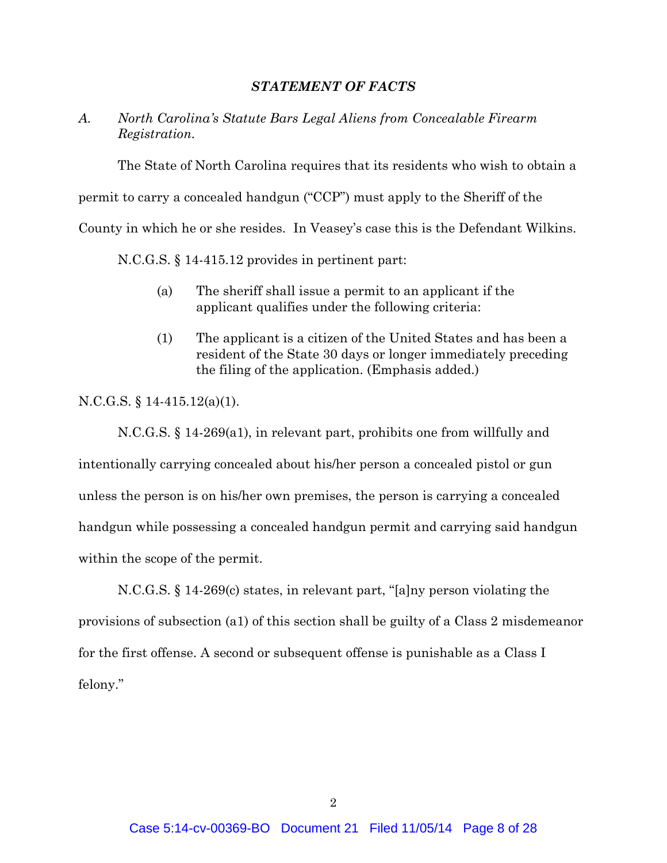#### *STATEMENT OF FACTS*

### *A. North Carolina's Statute Bars Legal Aliens from Concealable Firearm Registration.*

The State of North Carolina requires that its residents who wish to obtain a

permit to carry a concealed handgun ("CCP") must apply to the Sheriff of the

County in which he or she resides. In Veasey's case this is the Defendant Wilkins.

N.C.G.S. § 14-415.12 provides in pertinent part:

- (a) The sheriff shall issue a permit to an applicant if the applicant qualifies under the following criteria:
- (1) The applicant is a citizen of the United States and has been a resident of the State 30 days or longer immediately preceding the filing of the application. (Emphasis added.)

N.C.G.S. § 14-415.12(a)(1).

N.C.G.S. § 14-269(a1), in relevant part, prohibits one from willfully and intentionally carrying concealed about his/her person a concealed pistol or gun unless the person is on his/her own premises, the person is carrying a concealed handgun while possessing a concealed handgun permit and carrying said handgun within the scope of the permit.

N.C.G.S. § 14-269(c) states, in relevant part, "[a]ny person violating the provisions of subsection (a1) of this section shall be guilty of a Class 2 misdemeanor for the first offense. A second or subsequent offense is punishable as a Class I felony."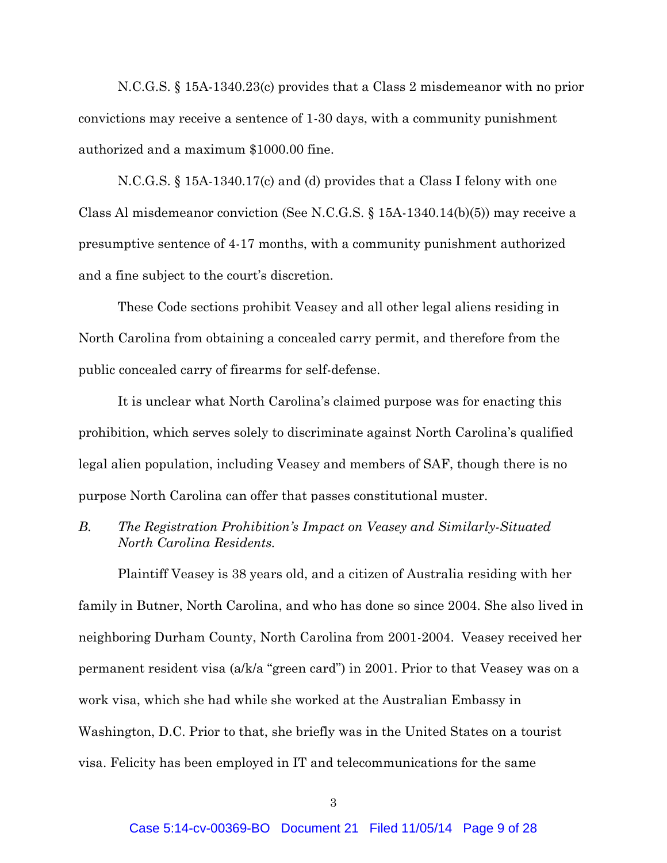N.C.G.S. § 15A-1340.23(c) provides that a Class 2 misdemeanor with no prior convictions may receive a sentence of 1-30 days, with a community punishment authorized and a maximum \$1000.00 fine.

N.C.G.S. § 15A-1340.17(c) and (d) provides that a Class I felony with one Class Al misdemeanor conviction (See N.C.G.S. § 15A-1340.14(b)(5)) may receive a presumptive sentence of 4-17 months, with a community punishment authorized and a fine subject to the court's discretion.

These Code sections prohibit Veasey and all other legal aliens residing in North Carolina from obtaining a concealed carry permit, and therefore from the public concealed carry of firearms for self-defense.

It is unclear what North Carolina's claimed purpose was for enacting this prohibition, which serves solely to discriminate against North Carolina's qualified legal alien population, including Veasey and members of SAF, though there is no purpose North Carolina can offer that passes constitutional muster.

### *B. The Registration Prohibition's Impact on Veasey and Similarly-Situated North Carolina Residents.*

Plaintiff Veasey is 38 years old, and a citizen of Australia residing with her family in Butner, North Carolina, and who has done so since 2004. She also lived in neighboring Durham County, North Carolina from 2001-2004. Veasey received her permanent resident visa (a/k/a "green card") in 2001. Prior to that Veasey was on a work visa, which she had while she worked at the Australian Embassy in Washington, D.C. Prior to that, she briefly was in the United States on a tourist visa. Felicity has been employed in IT and telecommunications for the same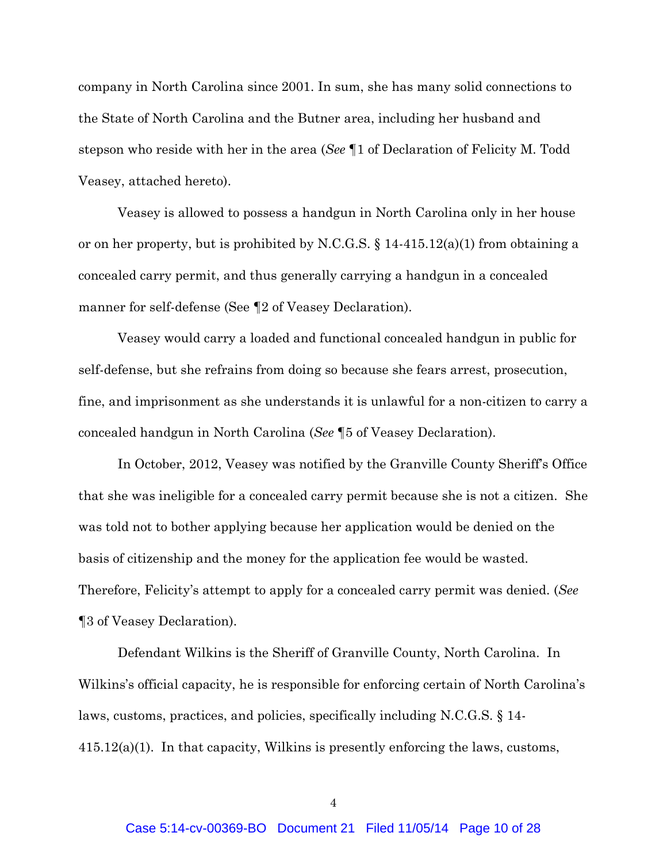company in North Carolina since 2001. In sum, she has many solid connections to the State of North Carolina and the Butner area, including her husband and stepson who reside with her in the area (*See* ¶1 of Declaration of Felicity M. Todd Veasey, attached hereto).

Veasey is allowed to possess a handgun in North Carolina only in her house or on her property, but is prohibited by N.C.G.S. § 14-415.12(a)(1) from obtaining a concealed carry permit, and thus generally carrying a handgun in a concealed manner for self-defense (See ¶2 of Veasey Declaration).

Veasey would carry a loaded and functional concealed handgun in public for self-defense, but she refrains from doing so because she fears arrest, prosecution, fine, and imprisonment as she understands it is unlawful for a non-citizen to carry a concealed handgun in North Carolina (*See* ¶5 of Veasey Declaration).

In October, 2012, Veasey was notified by the Granville County Sheriff's Office that she was ineligible for a concealed carry permit because she is not a citizen. She was told not to bother applying because her application would be denied on the basis of citizenship and the money for the application fee would be wasted. Therefore, Felicity's attempt to apply for a concealed carry permit was denied. (*See* ¶3 of Veasey Declaration).

Defendant Wilkins is the Sheriff of Granville County, North Carolina. In Wilkins's official capacity, he is responsible for enforcing certain of North Carolina's laws, customs, practices, and policies, specifically including N.C.G.S. § 14-  $415.12(a)(1)$ . In that capacity, Wilkins is presently enforcing the laws, customs,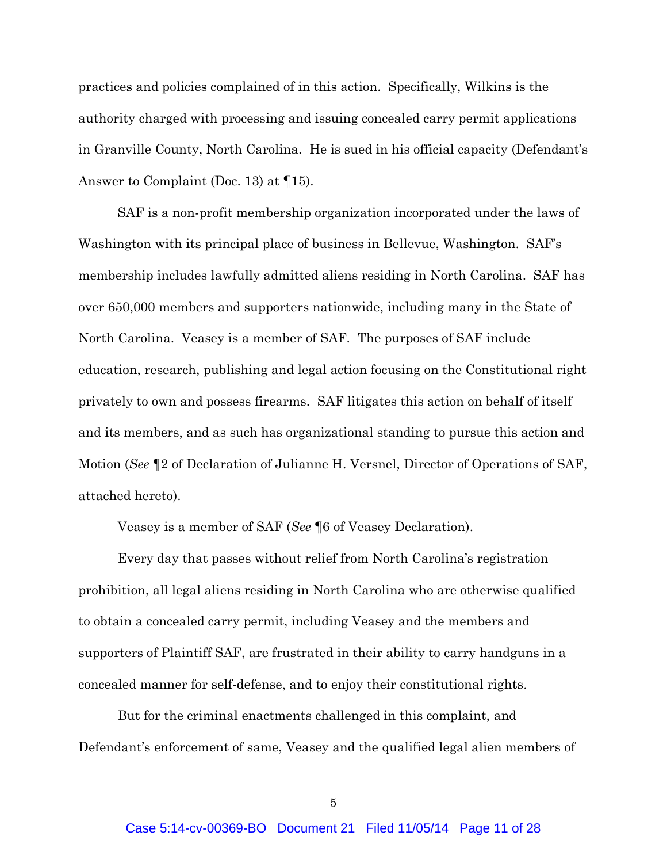practices and policies complained of in this action. Specifically, Wilkins is the authority charged with processing and issuing concealed carry permit applications in Granville County, North Carolina. He is sued in his official capacity (Defendant's Answer to Complaint (Doc. 13) at ¶15).

SAF is a non-profit membership organization incorporated under the laws of Washington with its principal place of business in Bellevue, Washington. SAF's membership includes lawfully admitted aliens residing in North Carolina. SAF has over 650,000 members and supporters nationwide, including many in the State of North Carolina. Veasey is a member of SAF. The purposes of SAF include education, research, publishing and legal action focusing on the Constitutional right privately to own and possess firearms. SAF litigates this action on behalf of itself and its members, and as such has organizational standing to pursue this action and Motion (*See* ¶2 of Declaration of Julianne H. Versnel, Director of Operations of SAF, attached hereto).

Veasey is a member of SAF (*See* ¶6 of Veasey Declaration).

Every day that passes without relief from North Carolina's registration prohibition, all legal aliens residing in North Carolina who are otherwise qualified to obtain a concealed carry permit, including Veasey and the members and supporters of Plaintiff SAF, are frustrated in their ability to carry handguns in a concealed manner for self-defense, and to enjoy their constitutional rights.

But for the criminal enactments challenged in this complaint, and Defendant's enforcement of same, Veasey and the qualified legal alien members of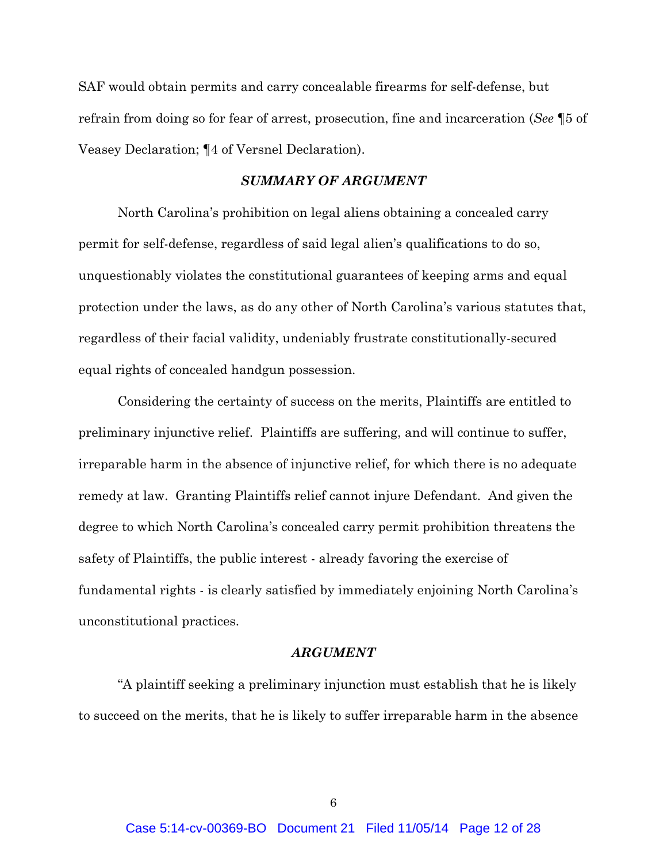SAF would obtain permits and carry concealable firearms for self-defense, but refrain from doing so for fear of arrest, prosecution, fine and incarceration (*See* ¶5 of Veasey Declaration; ¶4 of Versnel Declaration).

#### *SUMMARY OF ARGUMENT*

North Carolina's prohibition on legal aliens obtaining a concealed carry permit for self-defense, regardless of said legal alien's qualifications to do so, unquestionably violates the constitutional guarantees of keeping arms and equal protection under the laws, as do any other of North Carolina's various statutes that, regardless of their facial validity, undeniably frustrate constitutionally-secured equal rights of concealed handgun possession.

Considering the certainty of success on the merits, Plaintiffs are entitled to preliminary injunctive relief. Plaintiffs are suffering, and will continue to suffer, irreparable harm in the absence of injunctive relief, for which there is no adequate remedy at law. Granting Plaintiffs relief cannot injure Defendant. And given the degree to which North Carolina's concealed carry permit prohibition threatens the safety of Plaintiffs, the public interest - already favoring the exercise of fundamental rights - is clearly satisfied by immediately enjoining North Carolina's unconstitutional practices.

#### *ARGUMENT*

"A plaintiff seeking a preliminary injunction must establish that he is likely to succeed on the merits, that he is likely to suffer irreparable harm in the absence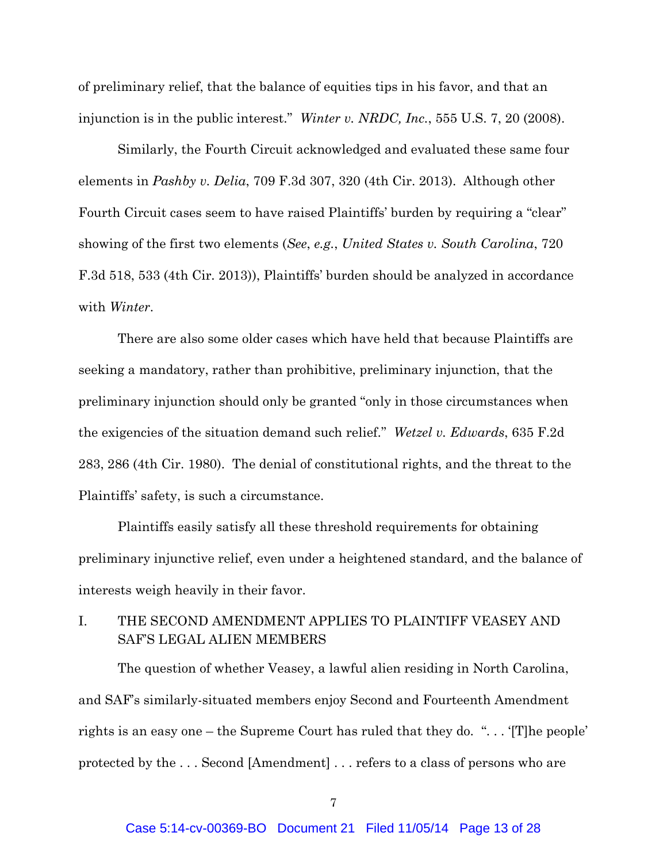of preliminary relief, that the balance of equities tips in his favor, and that an injunction is in the public interest." *Winter v. NRDC, Inc.*, 555 U.S. 7, 20 (2008).

Similarly, the Fourth Circuit acknowledged and evaluated these same four elements in *Pashby v. Delia*, 709 F.3d 307, 320 (4th Cir. 2013). Although other Fourth Circuit cases seem to have raised Plaintiffs' burden by requiring a "clear" showing of the first two elements (*See*, *e.g.*, *United States v. South Carolina*, 720 F.3d 518, 533 (4th Cir. 2013)), Plaintiffs' burden should be analyzed in accordance with *Winter*.

There are also some older cases which have held that because Plaintiffs are seeking a mandatory, rather than prohibitive, preliminary injunction, that the preliminary injunction should only be granted "only in those circumstances when the exigencies of the situation demand such relief." *Wetzel v. Edwards*, 635 F.2d 283, 286 (4th Cir. 1980). The denial of constitutional rights, and the threat to the Plaintiffs' safety, is such a circumstance.

Plaintiffs easily satisfy all these threshold requirements for obtaining preliminary injunctive relief, even under a heightened standard, and the balance of interests weigh heavily in their favor.

## I. THE SECOND AMENDMENT APPLIES TO PLAINTIFF VEASEY AND SAF'S LEGAL ALIEN MEMBERS

The question of whether Veasey, a lawful alien residing in North Carolina, and SAF's similarly-situated members enjoy Second and Fourteenth Amendment rights is an easy one – the Supreme Court has ruled that they do. ". . . '[T]he people' protected by the . . . Second [Amendment] . . . refers to a class of persons who are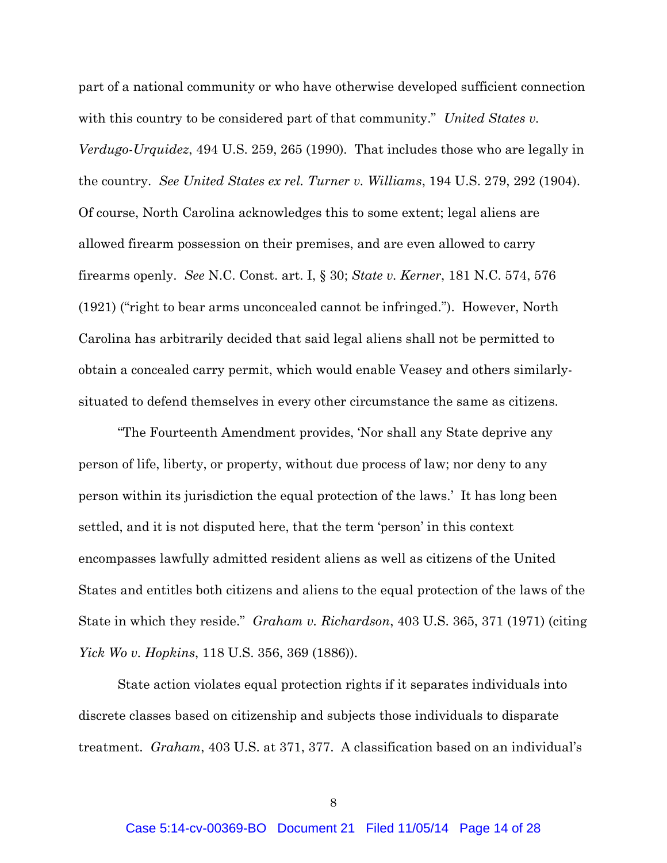part of a national community or who have otherwise developed sufficient connection with this country to be considered part of that community." *United States v. Verdugo-Urquidez*, 494 U.S. 259, 265 (1990). That includes those who are legally in the country. *See United States ex rel. Turner v. Williams*, 194 U.S. 279, 292 (1904). Of course, North Carolina acknowledges this to some extent; legal aliens are allowed firearm possession on their premises, and are even allowed to carry firearms openly. *See* N.C. Const. art. I, § 30; *State v. Kerner*, 181 N.C. 574, 576 (1921) ("right to bear arms unconcealed cannot be infringed."). However, North Carolina has arbitrarily decided that said legal aliens shall not be permitted to obtain a concealed carry permit, which would enable Veasey and others similarlysituated to defend themselves in every other circumstance the same as citizens.

"The Fourteenth Amendment provides, 'Nor shall any State deprive any person of life, liberty, or property, without due process of law; nor deny to any person within its jurisdiction the equal protection of the laws.' It has long been settled, and it is not disputed here, that the term 'person' in this context encompasses lawfully admitted resident aliens as well as citizens of the United States and entitles both citizens and aliens to the equal protection of the laws of the State in which they reside." *Graham v. Richardson*, 403 U.S. 365, 371 (1971) (citing *Yick Wo v. Hopkins*, 118 U.S. 356, 369 (1886)).

State action violates equal protection rights if it separates individuals into discrete classes based on citizenship and subjects those individuals to disparate treatment. *Graham*, 403 U.S. at 371, 377. A classification based on an individual's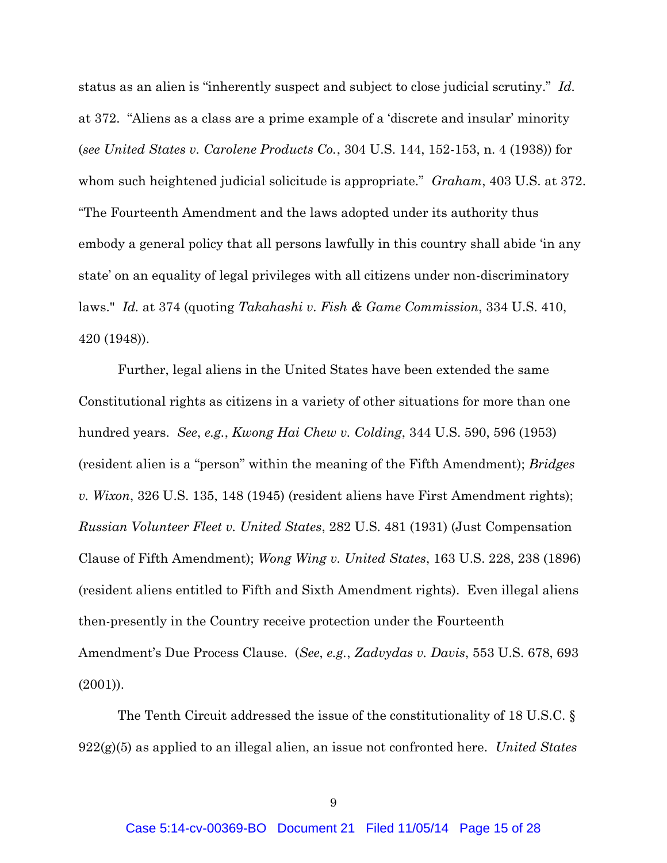status as an alien is "inherently suspect and subject to close judicial scrutiny." *Id.* at 372. "Aliens as a class are a prime example of a 'discrete and insular' minority (*see United States v. Carolene Products Co.*, 304 U.S. 144, 152-153, n. 4 (1938)) for whom such heightened judicial solicitude is appropriate." *Graham*, 403 U.S. at 372. "The Fourteenth Amendment and the laws adopted under its authority thus embody a general policy that all persons lawfully in this country shall abide 'in any state' on an equality of legal privileges with all citizens under non-discriminatory laws." *Id.* at 374 (quoting *Takahashi v. Fish & Game Commission*, 334 U.S. 410, 420 (1948)).

Further, legal aliens in the United States have been extended the same Constitutional rights as citizens in a variety of other situations for more than one hundred years. *See*, *e.g.*, *Kwong Hai Chew v. Colding*, 344 U.S. 590, 596 (1953) (resident alien is a "person" within the meaning of the Fifth Amendment); *Bridges v. Wixon*, 326 U.S. 135, 148 (1945) (resident aliens have First Amendment rights); *Russian Volunteer Fleet v. United States*, 282 U.S. 481 (1931) (Just Compensation Clause of Fifth Amendment); *Wong Wing v. United States*, 163 U.S. 228, 238 (1896) (resident aliens entitled to Fifth and Sixth Amendment rights). Even illegal aliens then-presently in the Country receive protection under the Fourteenth Amendment's Due Process Clause. (*See*, *e.g.*, *Zadvydas v. Davis*, 553 U.S. 678, 693 (2001)).

The Tenth Circuit addressed the issue of the constitutionality of 18 U.S.C. § 922(g)(5) as applied to an illegal alien, an issue not confronted here. *United States*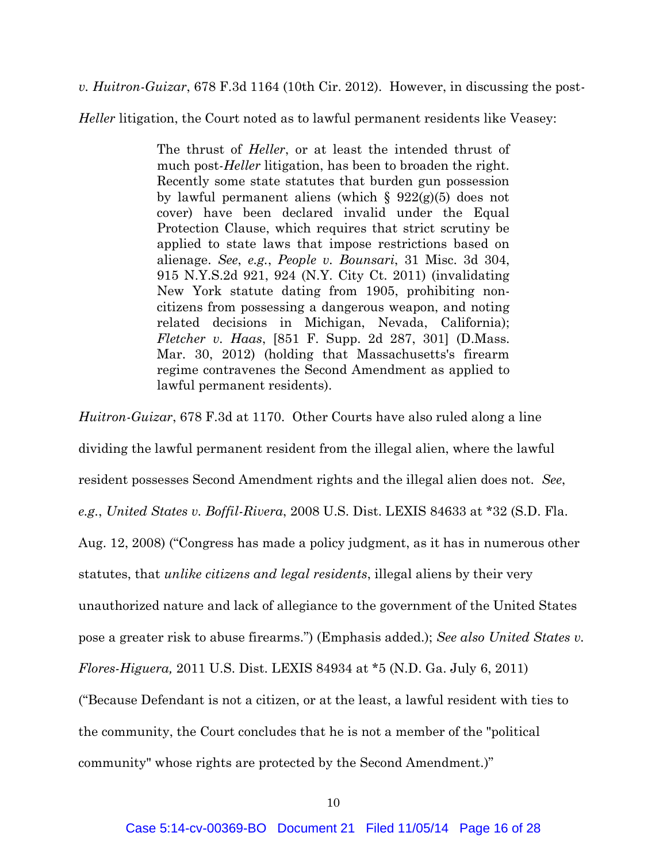*v. Huitron-Guizar*, 678 F.3d 1164 (10th Cir. 2012). However, in discussing the post-

*Heller* litigation, the Court noted as to lawful permanent residents like Veasey:

The thrust of *Heller*, or at least the intended thrust of much post-*Heller* litigation, has been to broaden the right. Recently some state statutes that burden gun possession by lawful permanent aliens (which  $\S 922(g)(5)$  does not cover) have been declared invalid under the Equal Protection Clause, which requires that strict scrutiny be applied to state laws that impose restrictions based on alienage. *See*, *e.g.*, *People v. Bounsari*, 31 Misc. 3d 304, 915 N.Y.S.2d 921, 924 (N.Y. City Ct. 2011) (invalidating New York statute dating from 1905, prohibiting noncitizens from possessing a dangerous weapon, and noting related decisions in Michigan, Nevada, California); *Fletcher v. Haas*, [851 F. Supp. 2d 287, 301] (D.Mass. Mar. 30, 2012) (holding that Massachusetts's firearm regime contravenes the Second Amendment as applied to lawful permanent residents).

*Huitron-Guizar*, 678 F.3d at 1170. Other Courts have also ruled along a line

dividing the lawful permanent resident from the illegal alien, where the lawful resident possesses Second Amendment rights and the illegal alien does not. *See*, *e.g.*, *United States v. Boffil-Rivera*, 2008 U.S. Dist. LEXIS 84633 at \*32 (S.D. Fla. Aug. 12, 2008) ("Congress has made a policy judgment, as it has in numerous other statutes, that *unlike citizens and legal residents*, illegal aliens by their very unauthorized nature and lack of allegiance to the government of the United States pose a greater risk to abuse firearms.") (Emphasis added.); *See also United States v. Flores-Higuera,* 2011 U.S. Dist. LEXIS 84934 at \*5 (N.D. Ga. July 6, 2011) ("Because Defendant is not a citizen, or at the least, a lawful resident with ties to the community, the Court concludes that he is not a member of the "political community" whose rights are protected by the Second Amendment.)"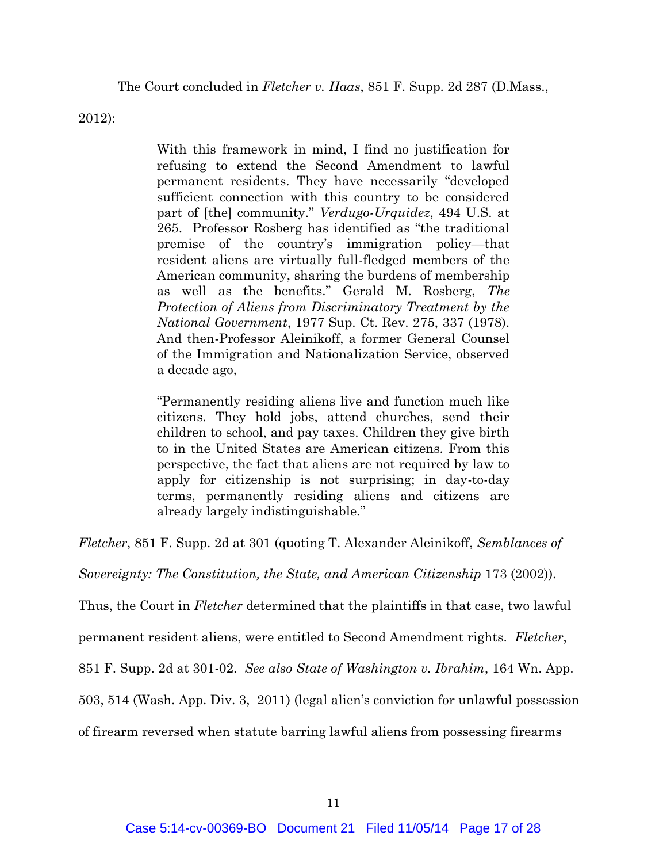The Court concluded in *Fletcher v. Haas*, 851 F. Supp. 2d 287 (D.Mass.,

2012):

With this framework in mind, I find no justification for refusing to extend the Second Amendment to lawful permanent residents. They have necessarily "developed sufficient connection with this country to be considered part of [the] community." *Verdugo-Urquidez*, 494 U.S. at 265. Professor Rosberg has identified as "the traditional premise of the country's immigration policy—that resident aliens are virtually full-fledged members of the American community, sharing the burdens of membership as well as the benefits." Gerald M. Rosberg, *The Protection of Aliens from Discriminatory Treatment by the National Government*, 1977 Sup. Ct. Rev. 275, 337 (1978). And then-Professor Aleinikoff, a former General Counsel of the Immigration and Nationalization Service, observed a decade ago,

"Permanently residing aliens live and function much like citizens. They hold jobs, attend churches, send their children to school, and pay taxes. Children they give birth to in the United States are American citizens. From this perspective, the fact that aliens are not required by law to apply for citizenship is not surprising; in day-to-day terms, permanently residing aliens and citizens are already largely indistinguishable."

*Fletcher*, 851 F. Supp. 2d at 301 (quoting T. Alexander Aleinikoff, *Semblances of* 

*Sovereignty: The Constitution, the State, and American Citizenship* 173 (2002)).

Thus, the Court in *Fletcher* determined that the plaintiffs in that case, two lawful

permanent resident aliens, were entitled to Second Amendment rights. *Fletcher*,

851 F. Supp. 2d at 301-02. *See also State of Washington v. Ibrahim*, 164 Wn. App.

503, 514 (Wash. App. Div. 3, 2011) (legal alien's conviction for unlawful possession

of firearm reversed when statute barring lawful aliens from possessing firearms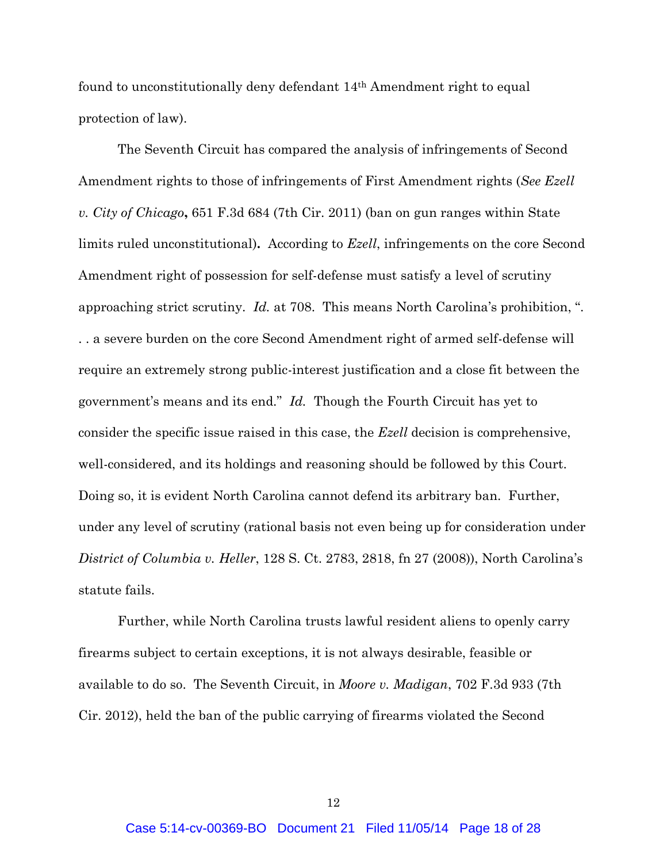found to unconstitutionally deny defendant 14th Amendment right to equal protection of law).

The Seventh Circuit has compared the analysis of infringements of Second Amendment rights to those of infringements of First Amendment rights (*See Ezell v. City of Chicago***,** 651 F.3d 684 (7th Cir. 2011) (ban on gun ranges within State limits ruled unconstitutional)**.** According to *Ezell*, infringements on the core Second Amendment right of possession for self-defense must satisfy a level of scrutiny approaching strict scrutiny. *Id.* at 708. This means North Carolina's prohibition, ". . . a severe burden on the core Second Amendment right of armed self-defense will require an extremely strong public-interest justification and a close fit between the government's means and its end." *Id.*Though the Fourth Circuit has yet to consider the specific issue raised in this case, the *Ezell* decision is comprehensive, well-considered, and its holdings and reasoning should be followed by this Court. Doing so, it is evident North Carolina cannot defend its arbitrary ban. Further, under any level of scrutiny (rational basis not even being up for consideration under *District of Columbia v. Heller*, 128 S. Ct. 2783, 2818, fn 27 (2008)), North Carolina's statute fails.

Further, while North Carolina trusts lawful resident aliens to openly carry firearms subject to certain exceptions, it is not always desirable, feasible or available to do so. The Seventh Circuit, in *Moore v. Madigan*, 702 F.3d 933 (7th Cir. 2012), held the ban of the public carrying of firearms violated the Second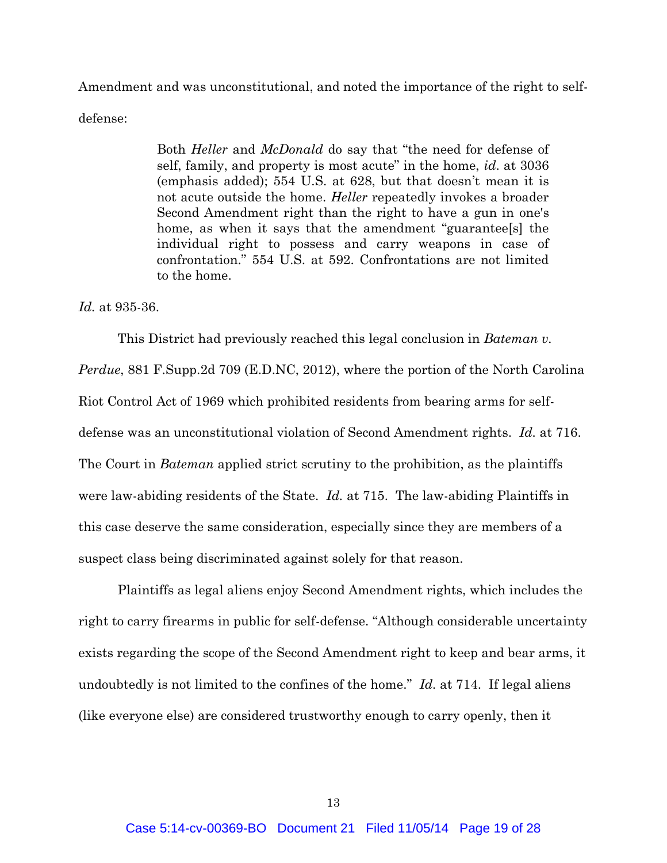Amendment and was unconstitutional, and noted the importance of the right to selfdefense:

> Both *Heller* and *McDonald* do say that "the need for defense of self, family, and property is most acute" in the home, *id*. at 3036 (emphasis added); 554 U.S. at 628, but that doesn't mean it is not acute outside the home. *Heller* repeatedly invokes a broader Second Amendment right than the right to have a gun in one's home, as when it says that the amendment "guarantee<sup>[s]</sup> the individual right to possess and carry weapons in case of confrontation." 554 U.S. at 592. Confrontations are not limited to the home.

*Id.* at 935-36.

This District had previously reached this legal conclusion in *Bateman v. Perdue*, 881 F.Supp.2d 709 (E.D.NC, 2012), where the portion of the North Carolina Riot Control Act of 1969 which prohibited residents from bearing arms for selfdefense was an unconstitutional violation of Second Amendment rights. *Id.* at 716. The Court in *Bateman* applied strict scrutiny to the prohibition, as the plaintiffs were law-abiding residents of the State. *Id.* at 715. The law-abiding Plaintiffs in this case deserve the same consideration, especially since they are members of a suspect class being discriminated against solely for that reason.

Plaintiffs as legal aliens enjoy Second Amendment rights, which includes the right to carry firearms in public for self-defense. "Although considerable uncertainty exists regarding the scope of the Second Amendment right to keep and bear arms, it undoubtedly is not limited to the confines of the home." *Id.* at 714. If legal aliens (like everyone else) are considered trustworthy enough to carry openly, then it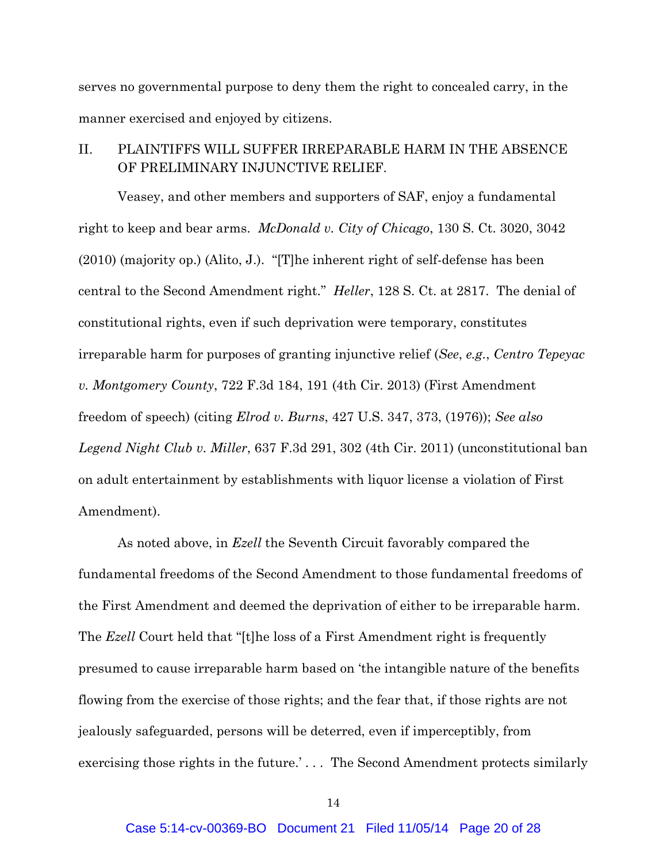serves no governmental purpose to deny them the right to concealed carry, in the manner exercised and enjoyed by citizens.

II. PLAINTIFFS WILL SUFFER IRREPARABLE HARM IN THE ABSENCE OF PRELIMINARY INJUNCTIVE RELIEF.

Veasey, and other members and supporters of SAF, enjoy a fundamental right to keep and bear arms. *McDonald v. City of Chicago*, 130 S. Ct. 3020, 3042 (2010) (majority op.) (Alito, J.). "[T]he inherent right of self-defense has been central to the Second Amendment right." *Heller*, 128 S. Ct. at 2817. The denial of constitutional rights, even if such deprivation were temporary, constitutes irreparable harm for purposes of granting injunctive relief (*See*, *e.g.*, *Centro Tepeyac v. Montgomery County*, 722 F.3d 184, 191 (4th Cir. 2013) (First Amendment freedom of speech) (citing *Elrod v. Burns*, 427 U.S. 347, 373, (1976)); *See also Legend Night Club v. Miller*, 637 F.3d 291, 302 (4th Cir. 2011) (unconstitutional ban on adult entertainment by establishments with liquor license a violation of First Amendment).

As noted above, in *Ezell* the Seventh Circuit favorably compared the fundamental freedoms of the Second Amendment to those fundamental freedoms of the First Amendment and deemed the deprivation of either to be irreparable harm. The *Ezell* Court held that "[t]he loss of a First Amendment right is frequently presumed to cause irreparable harm based on 'the intangible nature of the benefits flowing from the exercise of those rights; and the fear that, if those rights are not jealously safeguarded, persons will be deterred, even if imperceptibly, from exercising those rights in the future.' . . . The Second Amendment protects similarly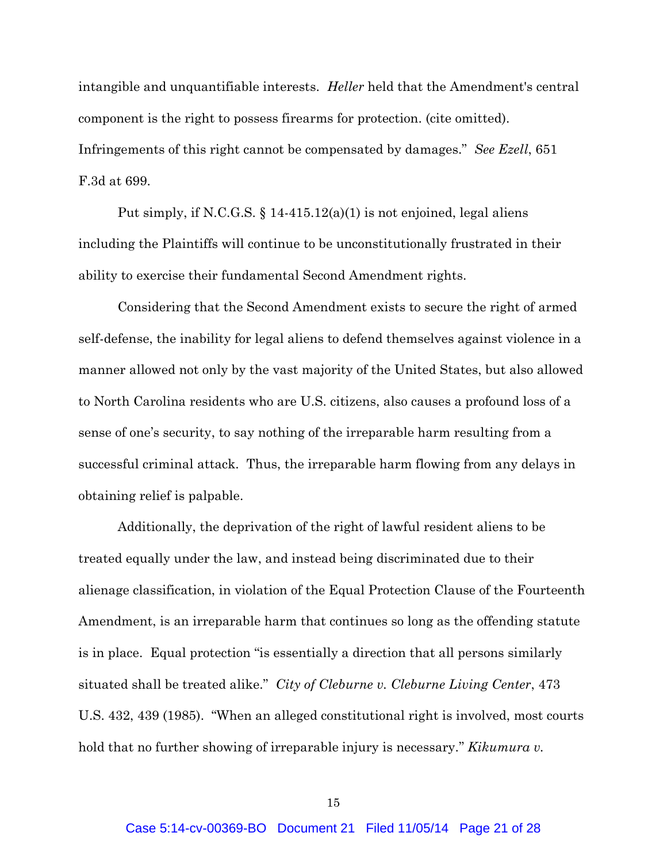intangible and unquantifiable interests. *Heller* held that the Amendment's central component is the right to possess firearms for protection. (cite omitted). Infringements of this right cannot be compensated by damages." *See Ezell*, 651 F.3d at 699.

Put simply, if N.C.G.S.  $\S 14-415.12(a)(1)$  is not enjoined, legal aliens including the Plaintiffs will continue to be unconstitutionally frustrated in their ability to exercise their fundamental Second Amendment rights.

Considering that the Second Amendment exists to secure the right of armed self-defense, the inability for legal aliens to defend themselves against violence in a manner allowed not only by the vast majority of the United States, but also allowed to North Carolina residents who are U.S. citizens, also causes a profound loss of a sense of one's security, to say nothing of the irreparable harm resulting from a successful criminal attack. Thus, the irreparable harm flowing from any delays in obtaining relief is palpable.

Additionally, the deprivation of the right of lawful resident aliens to be treated equally under the law, and instead being discriminated due to their alienage classification, in violation of the Equal Protection Clause of the Fourteenth Amendment, is an irreparable harm that continues so long as the offending statute is in place. Equal protection "is essentially a direction that all persons similarly situated shall be treated alike." *City of Cleburne v. Cleburne Living Center*, 473 U.S. 432, 439 (1985). "When an alleged constitutional right is involved, most courts hold that no further showing of irreparable injury is necessary." *Kikumura v.*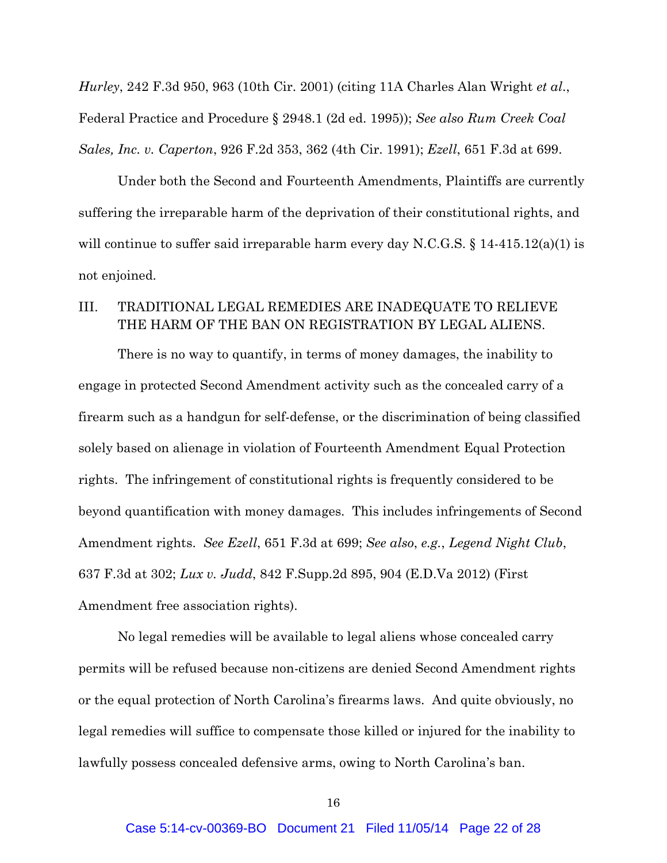*Hurley*, 242 F.3d 950, 963 (10th Cir. 2001) (citing 11A Charles Alan Wright *et al*., Federal Practice and Procedure § 2948.1 (2d ed. 1995)); *See also Rum Creek Coal Sales, Inc. v. Caperton*, 926 F.2d 353, 362 (4th Cir. 1991); *Ezell*, 651 F.3d at 699.

Under both the Second and Fourteenth Amendments, Plaintiffs are currently suffering the irreparable harm of the deprivation of their constitutional rights, and will continue to suffer said irreparable harm every day N.C.G.S. § 14-415.12(a)(1) is not enjoined.

## III. TRADITIONAL LEGAL REMEDIES ARE INADEQUATE TO RELIEVE THE HARM OF THE BAN ON REGISTRATION BY LEGAL ALIENS.

There is no way to quantify, in terms of money damages, the inability to engage in protected Second Amendment activity such as the concealed carry of a firearm such as a handgun for self-defense, or the discrimination of being classified solely based on alienage in violation of Fourteenth Amendment Equal Protection rights. The infringement of constitutional rights is frequently considered to be beyond quantification with money damages. This includes infringements of Second Amendment rights. *See Ezell*, 651 F.3d at 699; *See also*, *e.g.*, *Legend Night Club*, 637 F.3d at 302; *Lux v. Judd*, 842 F.Supp.2d 895, 904 (E.D.Va 2012) (First Amendment free association rights).

No legal remedies will be available to legal aliens whose concealed carry permits will be refused because non-citizens are denied Second Amendment rights or the equal protection of North Carolina's firearms laws. And quite obviously, no legal remedies will suffice to compensate those killed or injured for the inability to lawfully possess concealed defensive arms, owing to North Carolina's ban.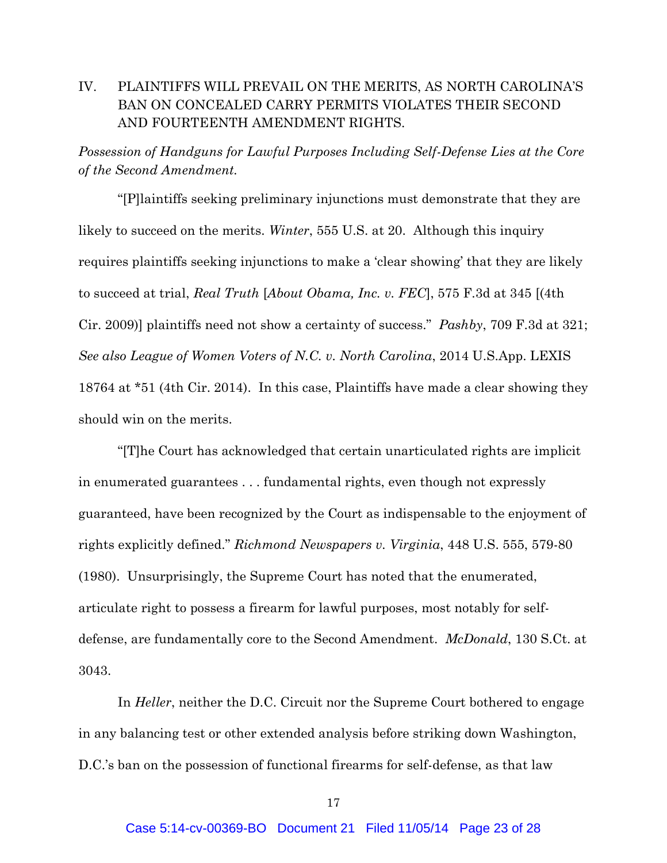## IV. PLAINTIFFS WILL PREVAIL ON THE MERITS, AS NORTH CAROLINA'S BAN ON CONCEALED CARRY PERMITS VIOLATES THEIR SECOND AND FOURTEENTH AMENDMENT RIGHTS.

*Possession of Handguns for Lawful Purposes Including Self-Defense Lies at the Core of the Second Amendment.*

"[P]laintiffs seeking preliminary injunctions must demonstrate that they are likely to succeed on the merits. *Winter*, 555 U.S. at 20. Although this inquiry requires plaintiffs seeking injunctions to make a 'clear showing' that they are likely to succeed at trial, *Real Truth* [*About Obama, Inc. v. FEC*], 575 F.3d at 345 [(4th Cir. 2009)] plaintiffs need not show a certainty of success." *Pashby*, 709 F.3d at 321; *See also League of Women Voters of N.C. v. North Carolina*, 2014 U.S.App. LEXIS 18764 at \*51 (4th Cir. 2014). In this case, Plaintiffs have made a clear showing they should win on the merits.

"[T]he Court has acknowledged that certain unarticulated rights are implicit in enumerated guarantees . . . fundamental rights, even though not expressly guaranteed, have been recognized by the Court as indispensable to the enjoyment of rights explicitly defined." *Richmond Newspapers v. Virginia*, 448 U.S. 555, 579-80 (1980). Unsurprisingly, the Supreme Court has noted that the enumerated, articulate right to possess a firearm for lawful purposes, most notably for selfdefense, are fundamentally core to the Second Amendment. *McDonald*, 130 S.Ct. at 3043.

In *Heller*, neither the D.C. Circuit nor the Supreme Court bothered to engage in any balancing test or other extended analysis before striking down Washington, D.C.'s ban on the possession of functional firearms for self-defense, as that law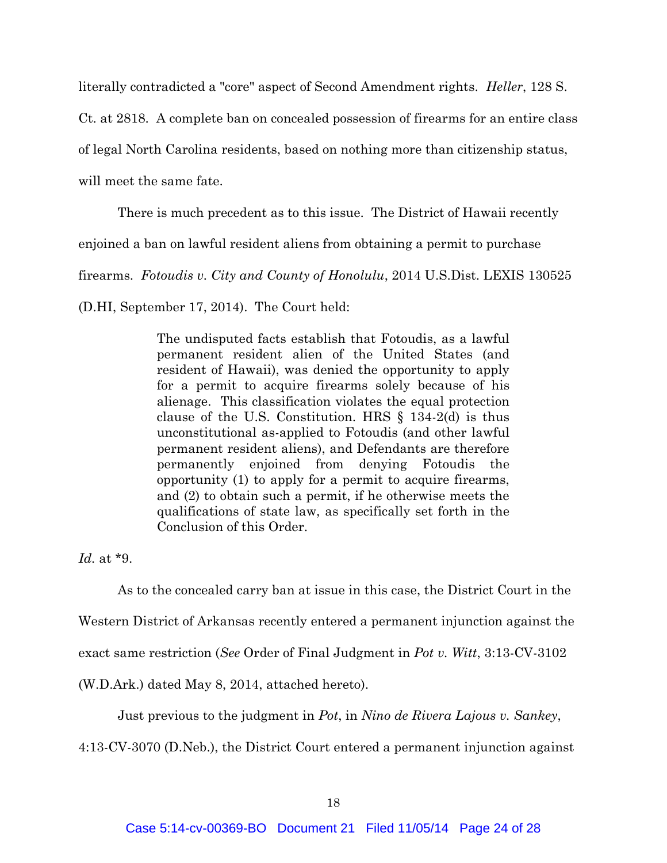literally contradicted a "core" aspect of Second Amendment rights. *Heller*, 128 S.

Ct. at 2818. A complete ban on concealed possession of firearms for an entire class

of legal North Carolina residents, based on nothing more than citizenship status,

will meet the same fate.

There is much precedent as to this issue. The District of Hawaii recently

enjoined a ban on lawful resident aliens from obtaining a permit to purchase

firearms. *Fotoudis v. City and County of Honolulu*, 2014 U.S.Dist. LEXIS 130525

(D.HI, September 17, 2014). The Court held:

The undisputed facts establish that Fotoudis, as a lawful permanent resident alien of the United States (and resident of Hawaii), was denied the opportunity to apply for a permit to acquire firearms solely because of his alienage. This classification violates the equal protection clause of the U.S. Constitution. HRS § 134-2(d) is thus unconstitutional as-applied to Fotoudis (and other lawful permanent resident aliens), and Defendants are therefore permanently enjoined from denying Fotoudis the opportunity (1) to apply for a permit to acquire firearms, and (2) to obtain such a permit, if he otherwise meets the qualifications of state law, as specifically set forth in the Conclusion of this Order.

*Id.* at \*9.

As to the concealed carry ban at issue in this case, the District Court in the

Western District of Arkansas recently entered a permanent injunction against the

exact same restriction (*See* Order of Final Judgment in *Pot v. Witt*, 3:13-CV-3102

(W.D.Ark.) dated May 8, 2014, attached hereto).

Just previous to the judgment in *Pot*, in *Nino de Rivera Lajous v. Sankey*,

4:13-CV-3070 (D.Neb.), the District Court entered a permanent injunction against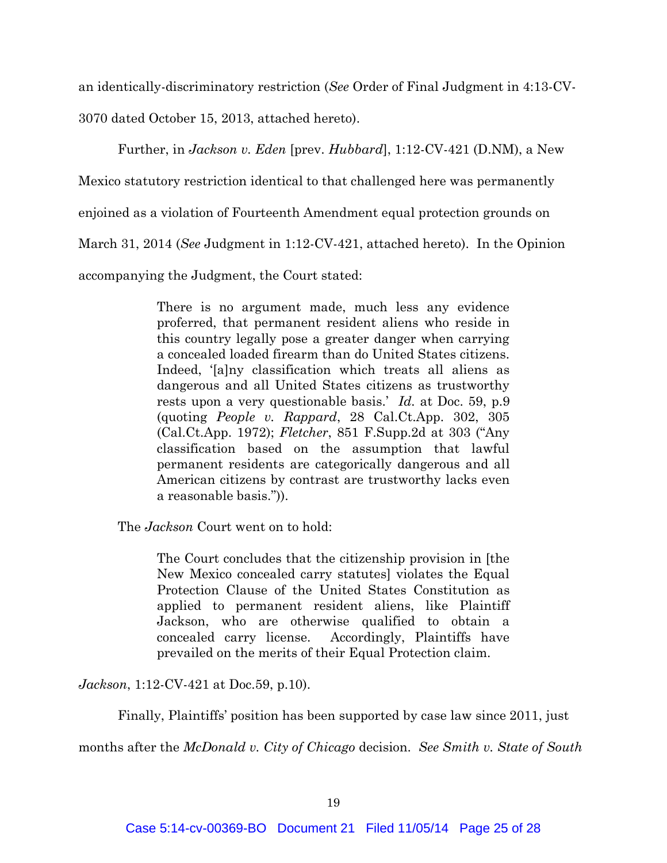an identically-discriminatory restriction (*See* Order of Final Judgment in 4:13-CV-

3070 dated October 15, 2013, attached hereto).

Further, in *Jackson v. Eden* [prev. *Hubbard*], 1:12-CV-421 (D.NM), a New

Mexico statutory restriction identical to that challenged here was permanently

enjoined as a violation of Fourteenth Amendment equal protection grounds on

March 31, 2014 (*See* Judgment in 1:12-CV-421, attached hereto). In the Opinion

accompanying the Judgment, the Court stated:

There is no argument made, much less any evidence proferred, that permanent resident aliens who reside in this country legally pose a greater danger when carrying a concealed loaded firearm than do United States citizens. Indeed, '[a]ny classification which treats all aliens as dangerous and all United States citizens as trustworthy rests upon a very questionable basis.' *Id.* at Doc. 59, p.9 (quoting *People v. Rappard*, 28 Cal.Ct.App. 302, 305 (Cal.Ct.App. 1972); *Fletcher*, 851 F.Supp.2d at 303 ("Any classification based on the assumption that lawful permanent residents are categorically dangerous and all American citizens by contrast are trustworthy lacks even a reasonable basis.")).

The *Jackson* Court went on to hold:

The Court concludes that the citizenship provision in [the New Mexico concealed carry statutes] violates the Equal Protection Clause of the United States Constitution as applied to permanent resident aliens, like Plaintiff Jackson, who are otherwise qualified to obtain a concealed carry license. Accordingly, Plaintiffs have prevailed on the merits of their Equal Protection claim.

*Jackson*, 1:12-CV-421 at Doc.59, p.10).

Finally, Plaintiffs' position has been supported by case law since 2011, just

months after the *McDonald v. City of Chicago* decision. *See Smith v. State of South*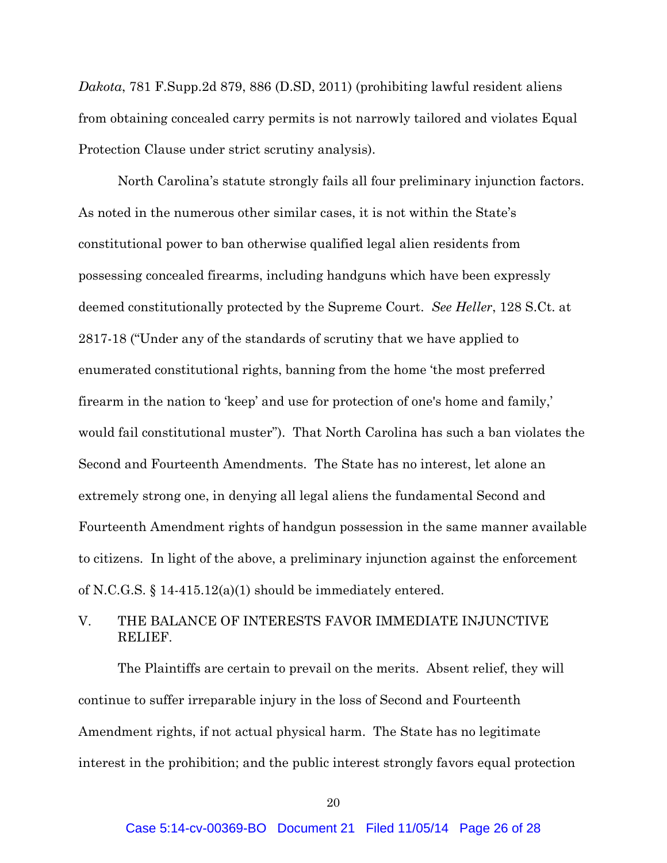*Dakota*, 781 F.Supp.2d 879, 886 (D.SD, 2011) (prohibiting lawful resident aliens from obtaining concealed carry permits is not narrowly tailored and violates Equal Protection Clause under strict scrutiny analysis).

North Carolina's statute strongly fails all four preliminary injunction factors. As noted in the numerous other similar cases, it is not within the State's constitutional power to ban otherwise qualified legal alien residents from possessing concealed firearms, including handguns which have been expressly deemed constitutionally protected by the Supreme Court. *See Heller*, 128 S.Ct. at 2817-18 ("Under any of the standards of scrutiny that we have applied to enumerated constitutional rights, banning from the home 'the most preferred firearm in the nation to 'keep' and use for protection of one's home and family,' would fail constitutional muster"). That North Carolina has such a ban violates the Second and Fourteenth Amendments.The State has no interest, let alone an extremely strong one, in denying all legal aliens the fundamental Second and Fourteenth Amendment rights of handgun possession in the same manner available to citizens.In light of the above, a preliminary injunction against the enforcement of N.C.G.S. § 14-415.12(a)(1) should be immediately entered.

### V. THE BALANCE OF INTERESTS FAVOR IMMEDIATE INJUNCTIVE RELIEF.

The Plaintiffs are certain to prevail on the merits. Absent relief, they will continue to suffer irreparable injury in the loss of Second and Fourteenth Amendment rights, if not actual physical harm. The State has no legitimate interest in the prohibition; and the public interest strongly favors equal protection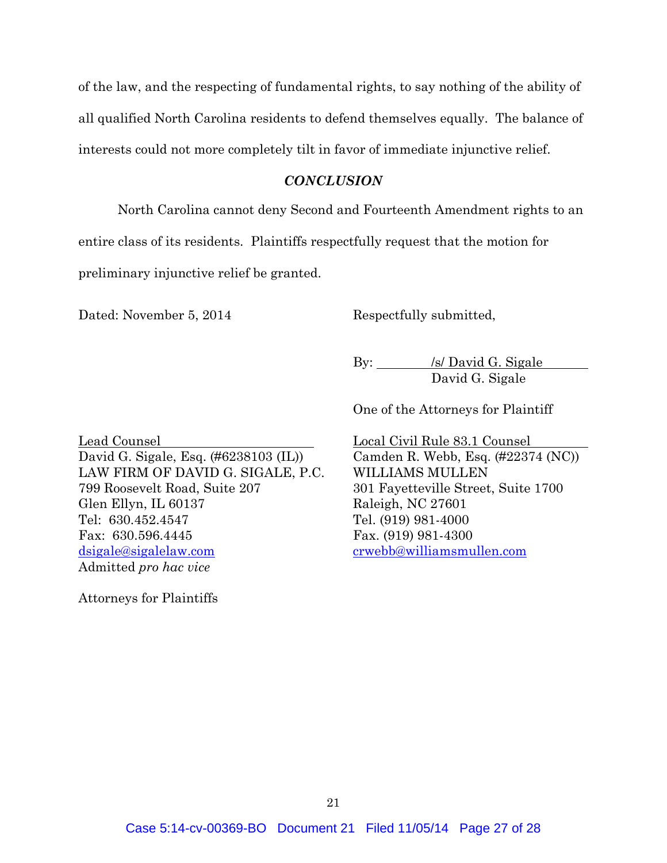of the law, and the respecting of fundamental rights, to say nothing of the ability of all qualified North Carolina residents to defend themselves equally. The balance of interests could not more completely tilt in favor of immediate injunctive relief.

#### *CONCLUSION*

North Carolina cannot deny Second and Fourteenth Amendment rights to an entire class of its residents. Plaintiffs respectfully request that the motion for preliminary injunctive relief be granted.

Dated: November 5, 2014 Respectfully submitted,

By: <u>/s/ David G. Sigale</u> David G. Sigale

One of the Attorneys for Plaintiff

Lead Counsel Local Civil Rule 83.1 Counsel David G. Sigale, Esq. (#6238103 (IL)) Camden R. Webb, Esq. (#22374 (NC)) LAW FIRM OF DAVID G. SIGALE, P.C. WILLIAMS MULLEN 799 Roosevelt Road, Suite 207 301 Fayetteville Street, Suite 1700 Glen Ellyn, IL 60137 Raleigh, NC 27601 Tel: 630.452.4547 Tel. (919) 981-4000 Fax: 630.596.4445 Fax. (919) 981-4300 dsigale@sigalelaw.com crwebb@williamsmullen.com Admitted *pro hac vice*

Attorneys for Plaintiffs